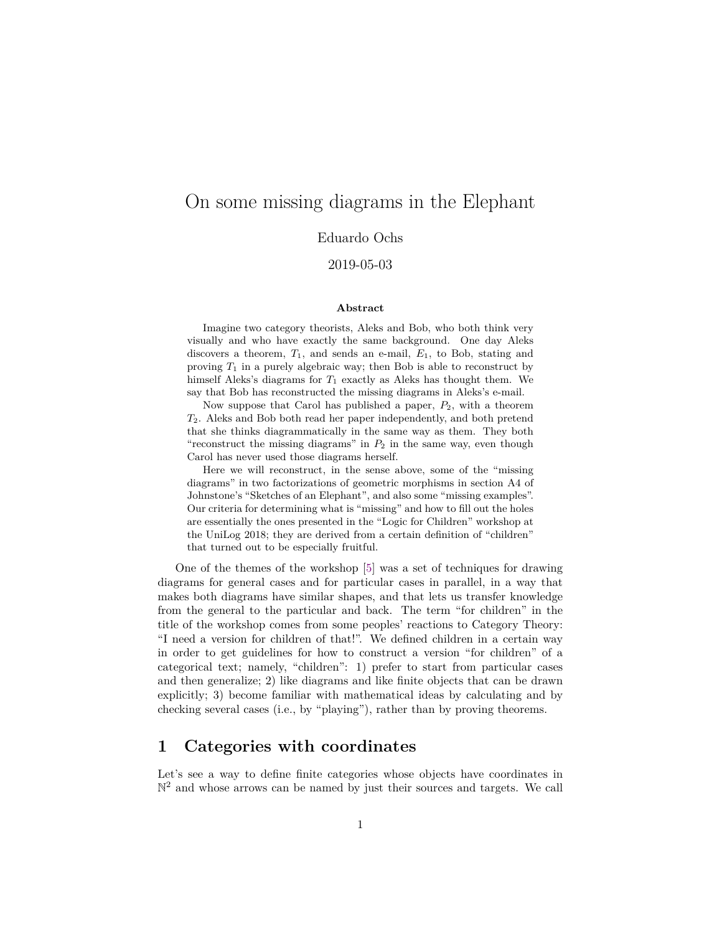# On some missing diagrams in the Elephant

#### Eduardo Ochs

#### 2019-05-03

#### **Abstract**

Imagine two category theorists, Aleks and Bob, who both think very visually and who have exactly the same background. One day Aleks discovers a theorem,  $T_1$ , and sends an e-mail,  $E_1$ , to Bob, stating and proving  $T_1$  in a purely algebraic way; then Bob is able to reconstruct by himself Aleks's diagrams for  $T_1$  exactly as Aleks has thought them. We say that Bob has reconstructed the missing diagrams in Aleks's e-mail.

Now suppose that Carol has published a paper,  $P_2$ , with a theorem T2. Aleks and Bob both read her paper independently, and both pretend that she thinks diagrammatically in the same way as them. They both "reconstruct the missing diagrams" in  $P_2$  in the same way, even though Carol has never used those diagrams herself.

Here we will reconstruct, in the sense above, some of the "missing diagrams" in two factorizations of geometric morphisms in section A4 of Johnstone's "Sketches of an Elephant", and also some "missing examples". Our criteria for determining what is "missing" and how to fill out the holes are essentially the ones presented in the "Logic for Children" workshop at the UniLog 2018; they are derived from a certain definition of "children" that turned out to be especially fruitful.

One of the themes of the workshop [\[5\]](#page-10-0) was a set of techniques for drawing diagrams for general cases and for particular cases in parallel, in a way that makes both diagrams have similar shapes, and that lets us transfer knowledge from the general to the particular and back. The term "for children" in the title of the workshop comes from some peoples' reactions to Category Theory: "I need a version for children of that!". We defined children in a certain way in order to get guidelines for how to construct a version "for children" of a categorical text; namely, "children": 1) prefer to start from particular cases and then generalize; 2) like diagrams and like finite objects that can be drawn explicitly; 3) become familiar with mathematical ideas by calculating and by checking several cases (i.e., by "playing"), rather than by proving theorems.

### **1 Categories with coordinates**

Let's see a way to define finite categories whose objects have coordinates in  $\mathbb{N}^2$  and whose arrows can be named by just their sources and targets. We call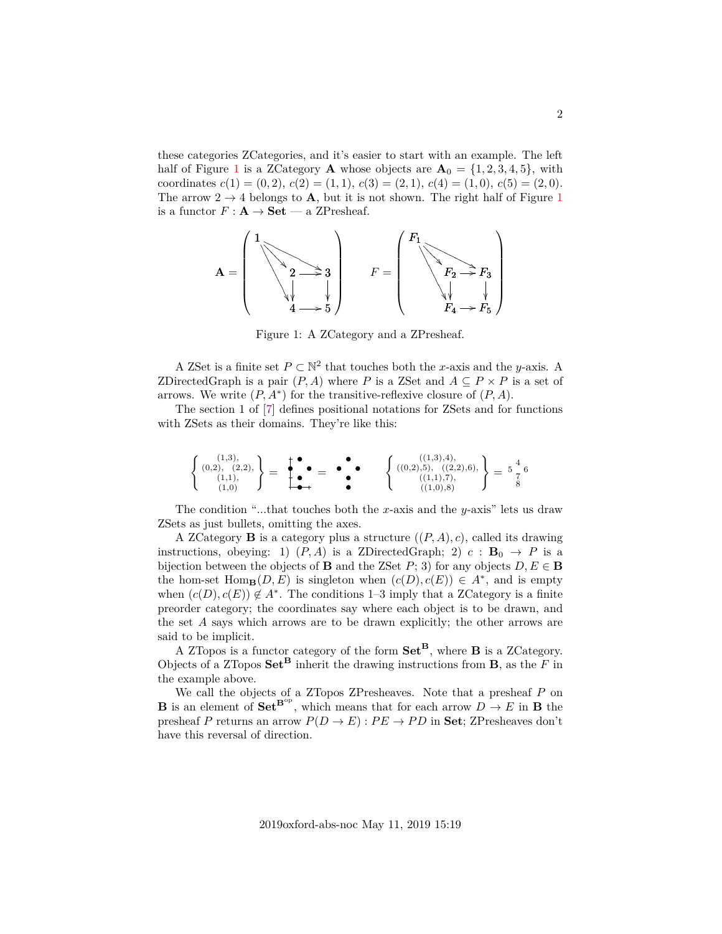these categories ZCategories, and it's easier to start with an example. The left half of Figure [1](#page-1-0) is a ZCategory **A** whose objects are  $A_0 = \{1, 2, 3, 4, 5\}$ , with coordinates  $c(1) = (0, 2), c(2) = (1, 1), c(3) = (2, 1), c(4) = (1, 0), c(5) = (2, 0).$ The arrow  $2 \rightarrow 4$  belongs to **A**, but it is not shown. The right half of Figure [1](#page-1-0) is a functor  $F: \mathbf{A} \to \mathbf{Set}$  — a ZPresheaf.

<span id="page-1-0"></span>

Figure 1: A ZCategory and a ZPresheaf.

A ZSet is a finite set  $P \subset \mathbb{N}^2$  that touches both the x-axis and the y-axis. A ZDirectedGraph is a pair  $(P, A)$  where P is a ZSet and  $A \subseteq P \times P$  is a set of arrows. We write  $(P, A^*)$  for the transitive-reflexive closure of  $(P, A)$ .

The section 1 of [\[7\]](#page-10-1) defines positional notations for ZSets and for functions with ZSets as their domains. They're like this:

$$
\left\{\n\begin{array}{c}\n(1,3), \\
(0,2), \\
(1,1), \\
(1,0)\n\end{array}\n\right\} =\n\begin{array}{c}\n\bullet \\
\bullet \\
\bullet \\
\bullet\n\end{array} =\n\begin{array}{c}\n\bullet \\
\bullet \\
\bullet \\
\bullet\n\end{array} =\n\begin{array}{c}\n\bullet \\
\bullet \\
\bullet \\
\bullet \\
\bullet\n\end{array}\n\left\{\n\begin{array}{c}\n((1,3),4), \\
((0,2),5), ((2,2),6), \\
((1,1),7), \\
((1,0),8)\n\end{array}\n\right\} =\n\frac{4}{7}6\n\end{array}
$$

The condition "...that touches both the x-axis and the y-axis" lets us draw ZSets as just bullets, omitting the axes.

A ZCategory **B** is a category plus a structure  $((P, A), c)$ , called its drawing instructions, obeying: 1)  $(P, A)$  is a ZDirectedGraph; 2)  $c : \mathbf{B}_0 \to P$  is a bijection between the objects of **B** and the ZSet P; 3) for any objects  $D, E \in \mathbf{B}$ the hom-set  $\text{Hom}_{\mathbf{B}}(D, E)$  is singleton when  $(c(D), c(E)) \in A^*$ , and is empty when  $(c(D), c(E)) \notin A^*$ . The conditions 1–3 imply that a ZCategory is a finite preorder category; the coordinates say where each object is to be drawn, and the set  $A$  says which arrows are to be drawn explicitly; the other arrows are said to be implicit.

A ZTopos is a functor category of the form  $\mathbf{Set}^{\mathbf{B}}$ , where **B** is a ZCategory. Objects of a ZTopos  $\mathbf{Set}^{\mathbf{B}}$  inherit the drawing instructions from **B**, as the F in the example above.

We call the objects of a ZTopos ZPresheaves. Note that a presheaf P on **B** is an element of  $Set^{B^{op}}$ , which means that for each arrow  $D \rightarrow E$  in **B** the presheaf P returns an arrow  $P(D \to E) : PE \to PD$  in Set; ZPresheaves don't have this reversal of direction.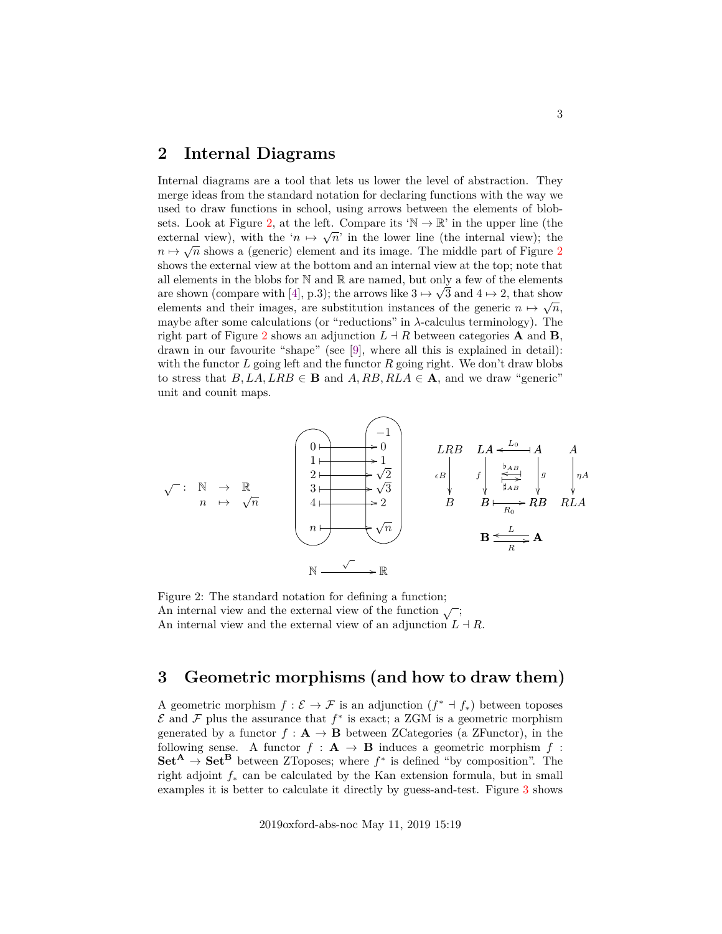#### <span id="page-2-1"></span>**2 Internal Diagrams**

Internal diagrams are a tool that lets us lower the level of abstraction. They merge ideas from the standard notation for declaring functions with the way we used to draw functions in school, using arrows between the elements of blob-sets. Look at Figure [2,](#page-2-0) at the left. Compare its  $\mathbb{N} \to \mathbb{R}$  in the upper line (the external view), with the ' $n \mapsto \sqrt{n}$ ' in the lower line (the internal view); the  $n \mapsto \sqrt{n}$  shows a (generic) element and its image. The middle part of Figure [2](#page-2-0) shows the external view at the bottom and an internal view at the top; note that all elements in the blobs for N and R are named, but only a few of the elements are shown (compare with [\[4\]](#page-10-2), p.3); the arrows like  $3 \mapsto \sqrt{3}$  and  $4 \mapsto 2$ , that show elements and their images, are substitution instances of the generic  $n \mapsto \sqrt{n}$ , maybe after some calculations (or "reductions" in  $\lambda$ -calculus terminology). The right part of Figure [2](#page-2-0) shows an adjunction  $L \dashv R$  between categories **A** and **B**, drawn in our favourite "shape" (see [\[9\]](#page-10-3), where all this is explained in detail): with the functor  $L$  going left and the functor  $R$  going right. We don't draw blobs to stress that  $B, LA, LRB \in \mathbf{B}$  and  $A, RB, RLA \in \mathbf{A}$ , and we draw "generic" unit and counit maps.

<span id="page-2-0"></span>

Figure 2: The standard notation for defining a function; An internal view and the external view of the function  $\sqrt{\ }$ ; An internal view and the external view of an adjunction  $L \dashv R$ .

## **3 Geometric morphisms (and how to draw them)**

A geometric morphism  $f: \mathcal{E} \to \mathcal{F}$  is an adjunction  $(f^* \dashv f^*)$  between toposes  $\mathcal E$  and  $\mathcal F$  plus the assurance that  $f^*$  is exact; a ZGM is a geometric morphism generated by a functor  $f : A \to B$  between ZCategories (a ZFunctor), in the following sense. A functor  $f : A \rightarrow B$  induces a geometric morphism f:  $\mathbf{Set}^{\mathbf{A}} \to \mathbf{Set}^{\mathbf{B}}$  between ZToposes; where  $f^*$  is defined "by composition". The right adjoint  $f_*$  can be calculated by the Kan extension formula, but in small examples it is better to calculate it directly by guess-and-test. Figure [3](#page-3-0) shows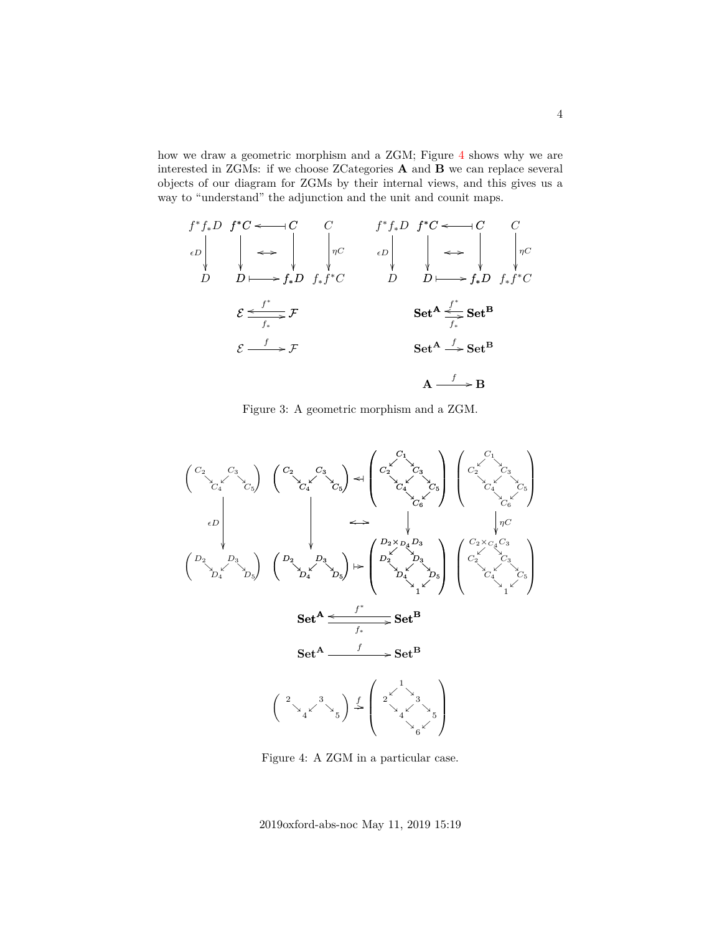how we draw a geometric morphism and a ZGM; Figure [4](#page-3-0) shows why we are interested in ZGMs: if we choose ZCategories A and B we can replace several objects of our diagram for ZGMs by their internal views, and this gives us a way to "understand" the adjunction and the unit and counit maps.

<span id="page-3-0"></span>
$$
f^* f_* D f^* C \longleftarrow C \qquad C \qquad f^* f_* D f^* C \longleftarrow C \qquad C
$$
  
\n
$$
\downarrow \qquad \downarrow \qquad \downarrow \qquad \downarrow \qquad \downarrow \qquad \downarrow \qquad \downarrow \qquad \downarrow \qquad \downarrow \qquad \downarrow \qquad \downarrow \qquad \downarrow \qquad \downarrow \qquad \downarrow \qquad \downarrow \qquad \downarrow \qquad \downarrow \qquad \downarrow \qquad \downarrow \qquad \downarrow \qquad \downarrow \qquad \downarrow \qquad \downarrow \qquad \downarrow \qquad \downarrow \qquad \downarrow \qquad \downarrow \qquad \downarrow \qquad \downarrow \qquad \downarrow \qquad \downarrow \qquad \downarrow \qquad \downarrow \qquad \downarrow \qquad \downarrow \qquad \downarrow \qquad \downarrow \qquad \downarrow \qquad \downarrow \qquad \downarrow \qquad \downarrow \qquad \downarrow \qquad \downarrow \qquad \downarrow \qquad \downarrow \qquad \downarrow \qquad \downarrow \qquad \downarrow \qquad \downarrow \qquad \downarrow \qquad \downarrow \qquad \downarrow \qquad \downarrow \qquad \downarrow \qquad \downarrow \qquad \downarrow \qquad \downarrow \qquad \downarrow \qquad \downarrow \qquad \downarrow \qquad \downarrow \qquad \downarrow \qquad \downarrow \qquad \downarrow \qquad \downarrow \qquad \downarrow \qquad \downarrow \qquad \downarrow \qquad \downarrow \qquad \downarrow \qquad \downarrow \qquad \downarrow \qquad \downarrow \qquad \downarrow \qquad \downarrow \qquad \downarrow \qquad \downarrow \qquad \downarrow \qquad \downarrow \qquad \downarrow \qquad \downarrow \qquad \downarrow \qquad \downarrow \qquad \downarrow \qquad \downarrow \qquad \downarrow \qquad \downarrow \qquad \downarrow \qquad \downarrow \qquad \downarrow \qquad \downarrow \qquad \downarrow \qquad \downarrow \qquad \downarrow \qquad \downarrow \qquad \downarrow \qquad \downarrow \qquad \downarrow \qquad \downarrow \qquad \downarrow \qquad \downarrow \qquad \downarrow \qquad \downarrow \qquad \downarrow \qquad \downarrow \qquad \downarrow \qquad \downarrow \qquad \downarrow \qquad \downarrow \qquad \downarrow \qquad \downarrow \qquad \downarrow \qquad \downarrow \qquad \downarrow \qquad \downarrow \qquad \downarrow \qquad \downarrow \qquad \downarrow \q
$$

Figure 3: A geometric morphism and a ZGM.



Figure 4: A ZGM in a particular case.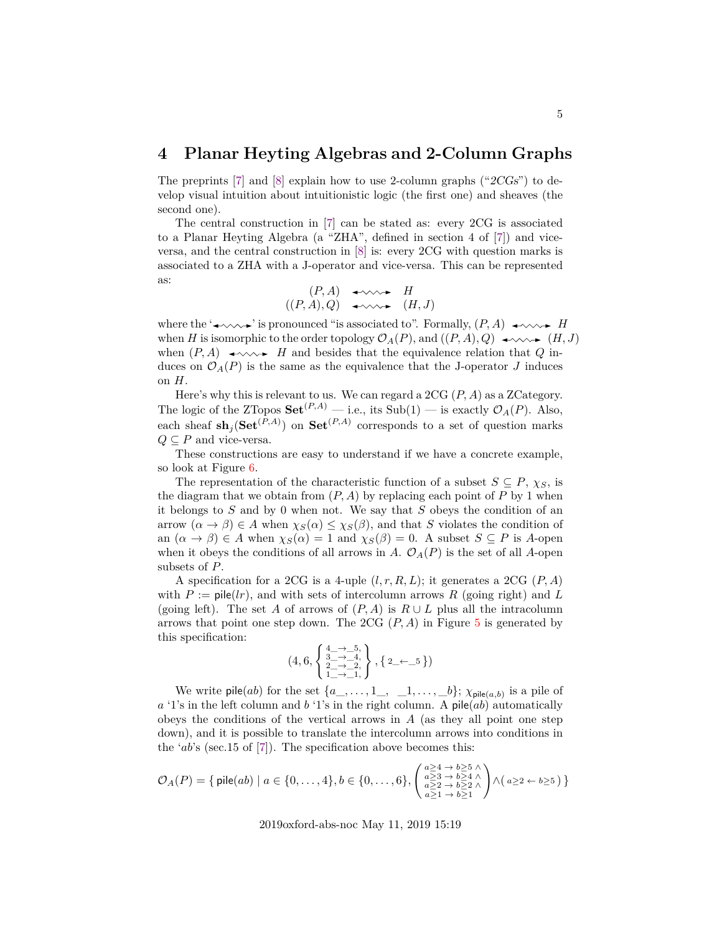### **4 Planar Heyting Algebras and 2-Column Graphs**

The preprints [\[7\]](#page-10-1) and [\[8\]](#page-10-4) explain how to use 2-column graphs ("2CGs") to develop visual intuition about intuitionistic logic (the first one) and sheaves (the second one).

The central construction in [\[7\]](#page-10-1) can be stated as: every 2CG is associated to a Planar Heyting Algebra (a "ZHA", defined in section 4 of [\[7\]](#page-10-1)) and viceversa, and the central construction in [\[8\]](#page-10-4) is: every 2CG with question marks is associated to a ZHA with a J-operator and vice-versa. This can be represented as:

$$
(P, A) \leftrightarrow H
$$
  

$$
((P, A), Q) \leftrightarrow \leadsto H
$$
  

$$
(H, J)
$$

where the ' $\leftrightarrow \rightarrow$ ' is pronounced "is associated to". Formally,  $(P, A) \leftrightarrow \rightarrow$ when H is isomorphic to the order topology  $\mathcal{O}_A(P)$ , and  $((P, A), Q) \longrightarrow \infty$   $(H, J)$ when  $(P, A) \longrightarrow W \longrightarrow H$  and besides that the equivalence relation that Q induces on  $\mathcal{O}_A(P)$  is the same as the equivalence that the J-operator J induces on H.

Here's why this is relevant to us. We can regard a  $2CG(P, A)$  as a ZCategory. The logic of the ZTopos  $\mathbf{Set}^{(P,A)}$  — i.e., its Sub(1) — is exactly  $\mathcal{O}_A(P)$ . Also, each sheaf  $\mathrm{sh}_j(\mathbf{Set}^{(P,A)})$  on  $\mathbf{Set}^{(P,A)}$  corresponds to a set of question marks  $Q \subseteq P$  and vice-versa.

These constructions are easy to understand if we have a concrete example, so look at Figure [6.](#page-5-0)

The representation of the characteristic function of a subset  $S \subseteq P$ ,  $\chi_S$ , is the diagram that we obtain from  $(P, A)$  by replacing each point of P by 1 when it belongs to  $S$  and by 0 when not. We say that  $S$  obeys the condition of an arrow  $(\alpha \to \beta) \in A$  when  $\chi_S(\alpha) \leq \chi_S(\beta)$ , and that S violates the condition of an  $(\alpha \to \beta) \in A$  when  $\chi_S(\alpha) = 1$  and  $\chi_S(\beta) = 0$ . A subset  $S \subseteq P$  is A-open when it obeys the conditions of all arrows in A.  $\mathcal{O}_A(P)$  is the set of all A-open subsets of P.

A specification for a 2CG is a 4-uple  $(l, r, R, L)$ ; it generates a 2CG  $(P, A)$ with  $P := \text{pile}(lr)$ , and with sets of intercolumn arrows R (going right) and L (going left). The set A of arrows of  $(P, A)$  is  $R \cup L$  plus all the intracolumn arrows that point one step down. The 2CG  $(P, A)$  in Figure [5](#page-5-0) is generated by this specification:

$$
(4,6,\left\{\begin{matrix} \frac{4}{3}\rightarrow-5,\\ \frac{23}{7}\rightarrow-4,\\ \frac{23}{7}\rightarrow-2,\\ 1\rightarrow-1, \end{matrix}\right\},\left\{2\leftarrow-5\right\})
$$

We write pile(*ab*) for the set  $\{a_1, \ldots, 1, \ldots, 1, \ldots, b\}; \chi_{\text{pile}(a,b)}$  is a pile of  $a'1's$  in the left column and  $b'1's$  in the right column. A pile $(ab)$  automatically obeys the conditions of the vertical arrows in  $A$  (as they all point one step down), and it is possible to translate the intercolumn arrows into conditions in the ' $ab$ 's (sec.15 of [\[7\]](#page-10-1)). The specification above becomes this:

$$
\mathcal{O}_A(P) = \{ \text{ pile}(ab) \mid a \in \{0, \ldots, 4\}, b \in \{0, \ldots, 6\}, \begin{pmatrix} a \geq 4 & \to b \geq 5 \land \\ a \geq 3 & \to b \geq 4 \land \\ a \geq 2 & \to b \geq 2 \land \\ a \geq 1 & \to b \geq 1 \end{pmatrix} \land (a \geq 2 \leftarrow b \geq 5) \}
$$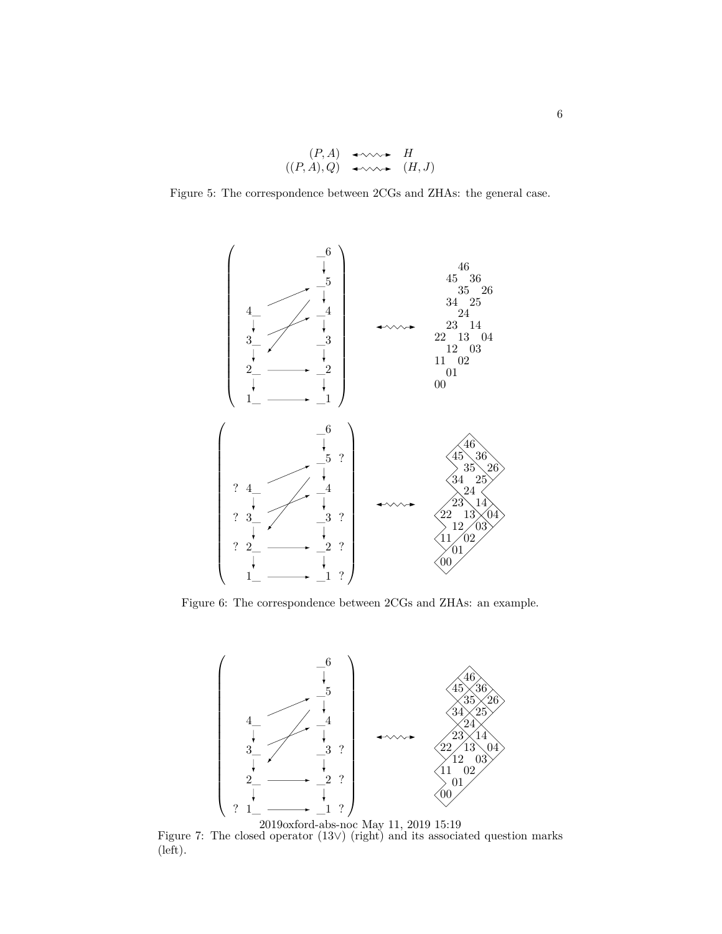$$
(P, A) \leftrightarrow H
$$
  

$$
((P, A), Q) \leftrightarrow \leadsto H
$$
  

$$
(H, J)
$$

<span id="page-5-0"></span>Figure 5: The correspondence between 2CGs and ZHAs: the general case.



Figure 6: The correspondence between 2CGs and ZHAs: an example.



Figure 7: The closed operator (13∨) (right) and its associated question marks (left). 2019oxford-abs-noc May 11, 2019 15:19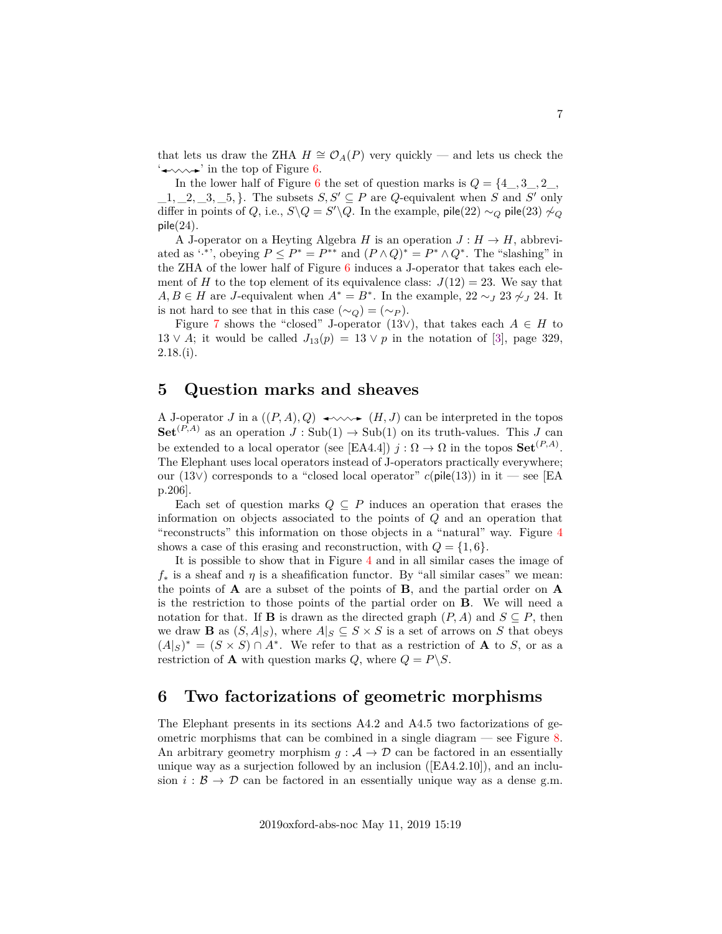that lets us draw the ZHA  $H \cong \mathcal{O}_A(P)$  very quickly — and lets us check the  $\rightarrow \rightarrow \rightarrow$  in the top of Figure [6.](#page-5-0)

In the lower half of Figure [6](#page-5-0) the set of question marks is  $Q = \{4, 3, 2, 2, \ldots, 4\}$  $\_, 1, \_, 2, \_, 3, \_, 5, \}$ . The subsets  $S, S' \subseteq P$  are Q-equivalent when S and S' only differ in points of Q, i.e.,  $S \setminus Q = S' \setminus Q$ . In the example, pile(22) ∼<sub>Q</sub> pile(23)  $\sim_Q$  $pile(24).$ 

A J-operator on a Heyting Algebra H is an operation  $J: H \to H$ , abbreviated as '',\*', obeying  $P \le P^* = P^{**}$  and  $(P \wedge Q)^* = P^* \wedge Q^*$ . The "slashing" in the ZHA of the lower half of Figure [6](#page-5-0) induces a J-operator that takes each element of H to the top element of its equivalence class:  $J(12) = 23$ . We say that  $A, B \in H$  are J-equivalent when  $A^* = B^*$ . In the example, 22 ∼ 3  $\gamma$  23  $\gamma$  24. It is not hard to see that in this case  $(\sim_Q) = (\sim_P)$ .

Figure [7](#page-5-0) shows the "closed" J-operator (13∨), that takes each  $A \in H$  to  $13 \vee A$ ; it would be called  $J_{13}(p) = 13 \vee p$  in the notation of [\[3\]](#page-10-5), page 329,  $2.18($ i).

### <span id="page-6-0"></span>**5 Question marks and sheaves**

A J-operator J in a  $((P, A), Q) \longrightarrow \longrightarrow (H, J)$  can be interpreted in the topos  $\mathbf{Set}^{(P,A)}$  as an operation  $J : \text{Sub}(1) \to \text{Sub}(1)$  on its truth-values. This J can be extended to a local operator (see [EA4.4])  $j : \Omega \to \Omega$  in the topos  $\mathbf{Set}^{(P,A)}$ . The Elephant uses local operators instead of J-operators practically everywhere; our (13∨) corresponds to a "closed local operator"  $c(\text{pile}(13))$  in it — see [EA p.206].

Each set of question marks  $Q \subseteq P$  induces an operation that erases the information on objects associated to the points of Q and an operation that "reconstructs" this information on those objects in a "natural" way. Figure [4](#page-3-0) shows a case of this erasing and reconstruction, with  $Q = \{1, 6\}.$ 

It is possible to show that in Figure [4](#page-3-0) and in all similar cases the image of  $f_*$  is a sheaf and  $\eta$  is a sheafification functor. By "all similar cases" we mean: the points of A are a subset of the points of B, and the partial order on A is the restriction to those points of the partial order on B. We will need a notation for that. If **B** is drawn as the directed graph  $(P, A)$  and  $S \subseteq P$ , then we draw **B** as  $(S, A|_S)$ , where  $A|_S \subseteq S \times S$  is a set of arrows on S that obeys  $(A|S)^* = (S \times S) \cap A^*$ . We refer to that as a restriction of **A** to *S*, or as a restriction of **A** with question marks  $Q$ , where  $Q = P\backslash S$ .

#### **6 Two factorizations of geometric morphisms**

The Elephant presents in its sections A4.2 and A4.5 two factorizations of geometric morphisms that can be combined in a single diagram  $-$  see Figure [8.](#page-7-0) An arbitrary geometry morphism  $g: \mathcal{A} \to \mathcal{D}$  can be factored in an essentially unique way as a surjection followed by an inclusion ([EA4.2.10]), and an inclusion  $i : \mathcal{B} \to \mathcal{D}$  can be factored in an essentially unique way as a dense g.m.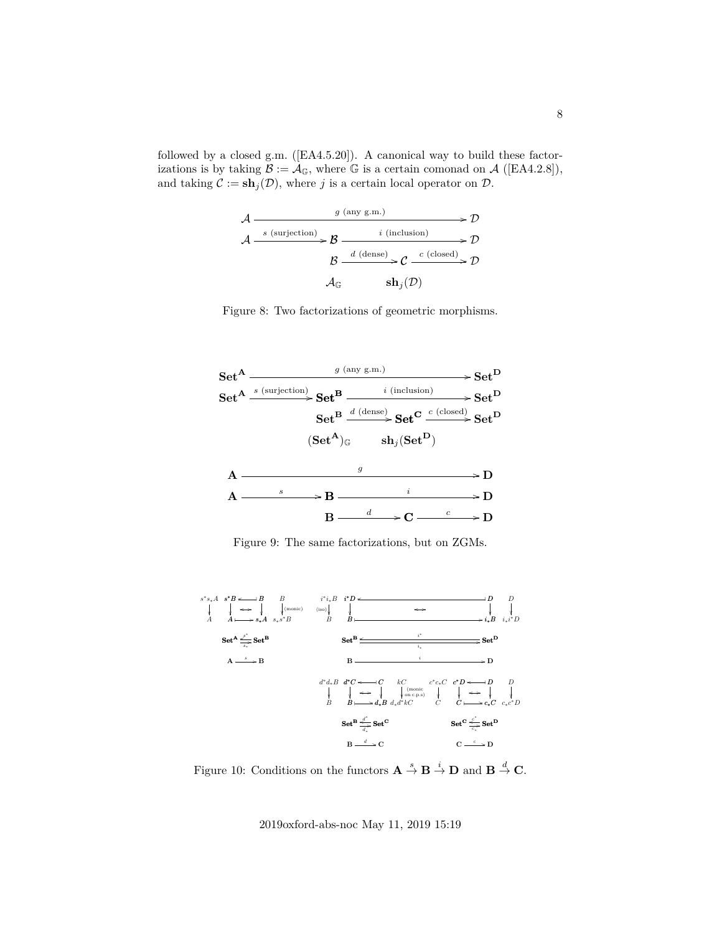<span id="page-7-0"></span>followed by a closed g.m. ([EA4.5.20]). A canonical way to build these factorizations is by taking  $\mathcal{B} := \mathcal{A}_{\mathbb{G}}$ , where  $\mathbb{G}$  is a certain comonad on  $\mathcal{A}$  ([EA4.2.8]), and taking  $\mathcal{C} := \mathbf{sh}_j(\mathcal{D})$ , where j is a certain local operator on  $\mathcal{D}$ .

$$
\mathcal{A} \xrightarrow{\qquad \qquad g \text{ (any g.m.)}} \mathcal{D} \xrightarrow{\qquad \qquad i \text{ (inclusion)}} \mathcal{D} \xrightarrow{\qquad \qquad i \text{ (inclusion)}} \mathcal{D} \xrightarrow{\qquad \qquad i \text{ (inclusion)}} \mathcal{D} \xrightarrow{\qquad \qquad g \qquad \qquad d \text{ (dense)}} \mathcal{C} \xrightarrow{\qquad c \text{ (closed)}} \mathcal{D} \xrightarrow{\qquad \qquad d \text{G}} \mathbf{sh}_j(\mathcal{D})
$$

Figure 8: Two factorizations of geometric morphisms.



Figure 9: The same factorizations, but on ZGMs.



Figure 10: Conditions on the functors  $\mathbf{A} \stackrel{s}{\to} \mathbf{B} \stackrel{i}{\to} \mathbf{D}$  and  $\mathbf{B} \stackrel{d}{\to} \mathbf{C}$ .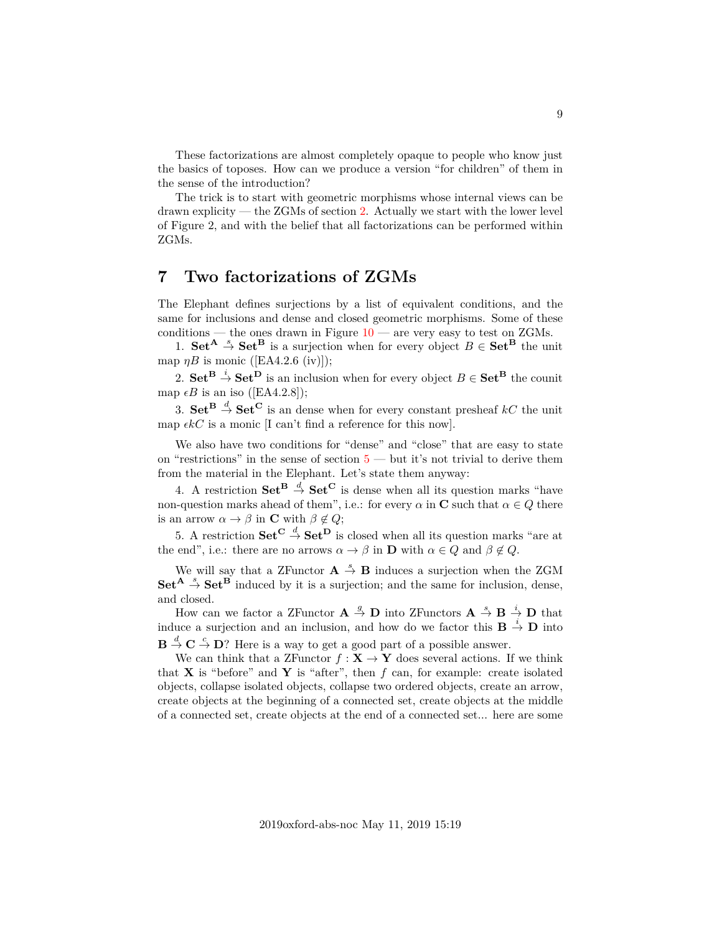These factorizations are almost completely opaque to people who know just the basics of toposes. How can we produce a version "for children" of them in the sense of the introduction?

The trick is to start with geometric morphisms whose internal views can be drawn explicity — the ZGMs of section [2.](#page-2-1) Actually we start with the lower level of Figure 2, and with the belief that all factorizations can be performed within ZGMs.

### **7 Two factorizations of ZGMs**

The Elephant defines surjections by a list of equivalent conditions, and the same for inclusions and dense and closed geometric morphisms. Some of these conditions — the ones drawn in Figure  $10$  — are very easy to test on ZGMs.

1. Set<sup>A</sup>  $\rightarrow$  Set<sup>B</sup> is a surjection when for every object  $B \in$  Set<sup>B</sup> the unit map  $\eta B$  is monic ([EA4.2.6 (iv)]);

2.  $\mathbf{Set}^{\mathbf{B}} \stackrel{i}{\to} \mathbf{Set}^{\mathbf{D}}$  is an inclusion when for every object  $B \in \mathbf{Set}^{\mathbf{B}}$  the counit map  $\epsilon B$  is an iso ([EA4.2.8]);

3.  $\mathbf{Set}^{\mathbf{B}} \stackrel{d}{\to} \mathbf{Set}^{\mathbf{C}}$  is an dense when for every constant presheaf  $kC$  the unit map  $\epsilon kC$  is a monic [I can't find a reference for this now].

We also have two conditions for "dense" and "close" that are easy to state on "restrictions" in the sense of section  $5$  — but it's not trivial to derive them from the material in the Elephant. Let's state them anyway:

4. A restriction  $\mathbf{Set}^{\mathbf{B}} \stackrel{d}{\to} \mathbf{Set}^{\mathbf{C}}$  is dense when all its question marks "have non-question marks ahead of them", i.e.: for every  $\alpha$  in C such that  $\alpha \in Q$  there is an arrow  $\alpha \to \beta$  in **C** with  $\beta \notin Q$ ;

5. A restriction  $\mathbf{Set}^{\mathbf{C}} \stackrel{d}{\rightarrow} \mathbf{Set}^{\mathbf{D}}$  is closed when all its question marks "are at the end", i.e.: there are no arrows  $\alpha \to \beta$  in **D** with  $\alpha \in Q$  and  $\beta \notin Q$ .

We will say that a ZFunctor  $A \stackrel{s}{\rightarrow} B$  induces a surjection when the ZGM  $\mathbf{Set}^{\mathbf{A}} \stackrel{s}{\rightarrow} \mathbf{Set}^{\mathbf{B}}$  induced by it is a surjection; and the same for inclusion, dense, and closed.

How can we factor a ZFunctor  $\mathbf{A} \stackrel{g}{\to} \mathbf{D}$  into ZFunctors  $\mathbf{A} \stackrel{s}{\to} \mathbf{B} \stackrel{i}{\to} \mathbf{D}$  that induce a surjection and an inclusion, and how do we factor this  $\mathbf{B} \stackrel{i}{\rightarrow} \mathbf{D}$  into  $\mathbf{B} \stackrel{d}{\rightarrow} \mathbf{C} \stackrel{c}{\rightarrow} \mathbf{D}$ ? Here is a way to get a good part of a possible answer.

We can think that a ZFunctor  $f: \mathbf{X} \to \mathbf{Y}$  does several actions. If we think that **X** is "before" and **Y** is "after", then  $f$  can, for example: create isolated objects, collapse isolated objects, collapse two ordered objects, create an arrow, create objects at the beginning of a connected set, create objects at the middle of a connected set, create objects at the end of a connected set... here are some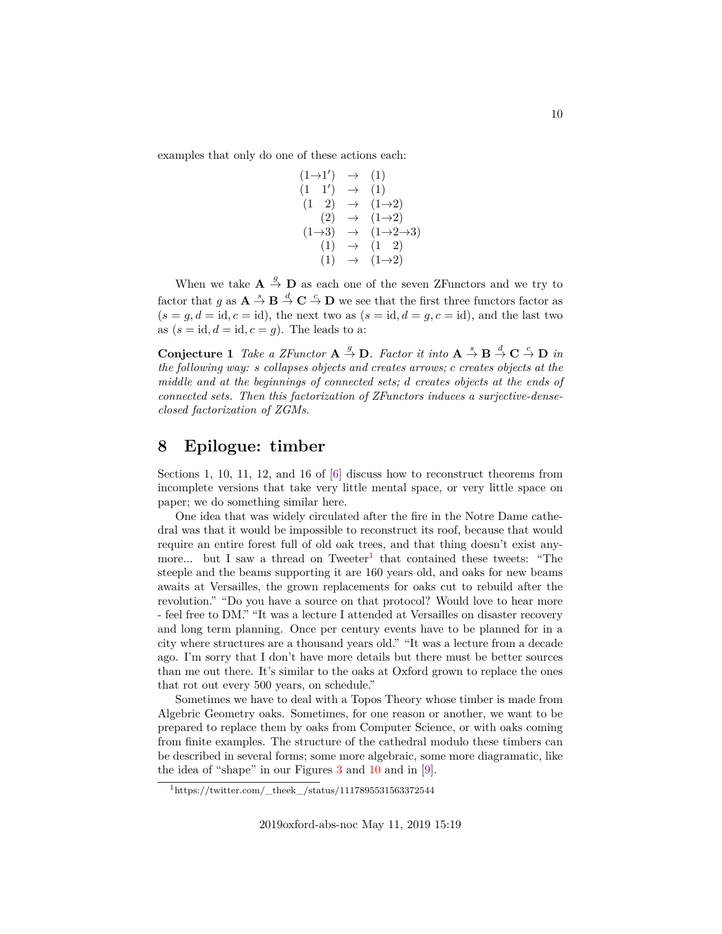examples that only do one of these actions each:

$$
(1\rightarrow1') \rightarrow (1)
$$
  
\n
$$
(1 \t1') \rightarrow (1)
$$
  
\n
$$
(1 \t2) \rightarrow (1\rightarrow2)
$$
  
\n
$$
(2) \rightarrow (1\rightarrow2)
$$
  
\n
$$
(1\rightarrow3) \rightarrow (1\rightarrow2\rightarrow3)
$$
  
\n
$$
(1) \rightarrow (1 \t2)
$$
  
\n
$$
(1) \rightarrow (1\rightarrow2)
$$

When we take  $\mathbf{A} \stackrel{g}{\rightarrow} \mathbf{D}$  as each one of the seven ZFunctors and we try to factor that g as  $A \stackrel{s}{\to} B \stackrel{d}{\to} C \stackrel{c}{\to} D$  we see that the first three functors factor as  $(s = g, d = id, c = id)$ , the next two as  $(s = id, d = g, c = id)$ , and the last two as  $(s = id, d = id, c = g)$ . The leads to a:

**Conjecture 1** *Take a ZFunctor*  $A \stackrel{g}{\rightarrow} D$ *. Factor it into*  $A \stackrel{s}{\rightarrow} B \stackrel{d}{\rightarrow} C \stackrel{c}{\rightarrow} D$  *in the following way:* s *collapses objects and creates arrows;* c *creates objects at the middle and at the beginnings of connected sets;* d *creates objects at the ends of connected sets. Then this factorization of ZFunctors induces a surjective-denseclosed factorization of ZGMs.*

### **8 Epilogue: timber**

Sections 1, 10, 11, 12, and 16 of [\[6\]](#page-10-6) discuss how to reconstruct theorems from incomplete versions that take very little mental space, or very little space on paper; we do something similar here.

One idea that was widely circulated after the fire in the Notre Dame cathedral was that it would be impossible to reconstruct its roof, because that would require an entire forest full of old oak trees, and that thing doesn't exist any-more... but I saw a thread on Tweeter<sup>[1](#page-9-0)</sup> that contained these tweets: "The steeple and the beams supporting it are 160 years old, and oaks for new beams awaits at Versailles, the grown replacements for oaks cut to rebuild after the revolution." "Do you have a source on that protocol? Would love to hear more - feel free to DM." "It was a lecture I attended at Versailles on disaster recovery and long term planning. Once per century events have to be planned for in a city where structures are a thousand years old." "It was a lecture from a decade ago. I'm sorry that I don't have more details but there must be better sources than me out there. It's similar to the oaks at Oxford grown to replace the ones that rot out every 500 years, on schedule."

Sometimes we have to deal with a Topos Theory whose timber is made from Algebric Geometry oaks. Sometimes, for one reason or another, we want to be prepared to replace them by oaks from Computer Science, or with oaks coming from finite examples. The structure of the cathedral modulo these timbers can be described in several forms; some more algebraic, some more diagramatic, like the idea of "shape" in our Figures [3](#page-3-0) and [10](#page-7-0) and in [\[9\]](#page-10-3).

<span id="page-9-0"></span> $1$ https://twitter.com/\_theek\_/status/1117895531563372544